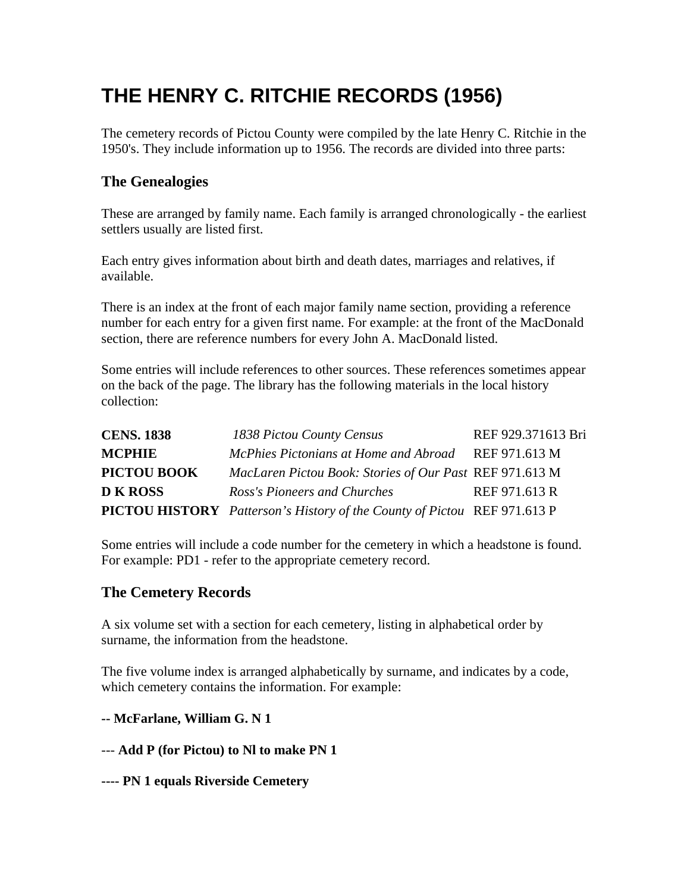# **THE HENRY C. RITCHIE RECORDS (1956)**

The cemetery records of Pictou County were compiled by the late Henry C. Ritchie in the 1950's. They include information up to 1956. The records are divided into three parts:

# **The Genealogies**

These are arranged by family name. Each family is arranged chronologically - the earliest settlers usually are listed first.

Each entry gives information about birth and death dates, marriages and relatives, if available.

There is an index at the front of each major family name section, providing a reference number for each entry for a given first name. For example: at the front of the MacDonald section, there are reference numbers for every John A. MacDonald listed.

Some entries will include references to other sources. These references sometimes appear on the back of the page. The library has the following materials in the local history collection:

| <b>CENS. 1838</b>  | 1838 Pictou County Census                                                       | REF 929.371613 Bri |
|--------------------|---------------------------------------------------------------------------------|--------------------|
| <b>MCPHIE</b>      | McPhies Pictonians at Home and Abroad                                           | REF 971.613 M      |
| <b>PICTOU BOOK</b> | MacLaren Pictou Book: Stories of Our Past REF 971.613 M                         |                    |
| <b>D K ROSS</b>    | Ross's Pioneers and Churches                                                    | REF 971.613 R      |
|                    | <b>PICTOU HISTORY</b> Patterson's History of the County of Pictou REF 971.613 P |                    |

Some entries will include a code number for the cemetery in which a headstone is found. For example: PD1 - refer to the appropriate cemetery record.

### **The Cemetery Records**

A six volume set with a section for each cemetery, listing in alphabetical order by surname, the information from the headstone.

The five volume index is arranged alphabetically by surname, and indicates by a code, which cemetery contains the information. For example:

#### **-- McFarlane, William G. N 1**

--- **Add P (for Pictou) to Nl to make PN 1** 

**---- PN 1 equals Riverside Cemetery**